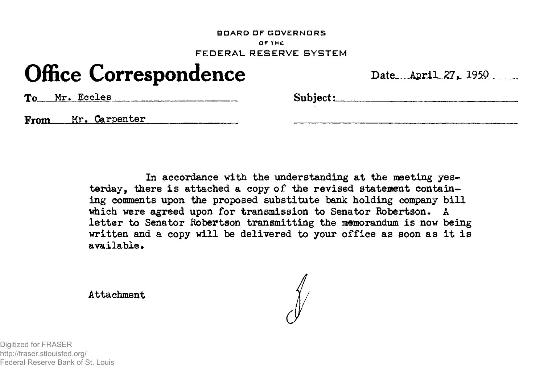#### **BOARD OF GOVERNORS** DF THE FEDERAL RESERVE SYSTEM

# **Office Correspondence**

|  |  |  | Date April 27, 1950 |
|--|--|--|---------------------|
|--|--|--|---------------------|

To Mr. Eccles Subject:

From Mr. Carpenter

In accordance with the understanding at the meeting yesterday, there is attached a copy of the revised statement containing comments upon the proposed substitute bank holding company bill which were agreed upon for transmission to Senator Robertson. A letter to Senator Robertson transmitting the memorandum is now being written and a copy will be delivered to your office as soon as it is available.

Attachment

Digitized for FRASER http://fraser.stlouisfed.org/ Federal Reserve Bank of St. Louis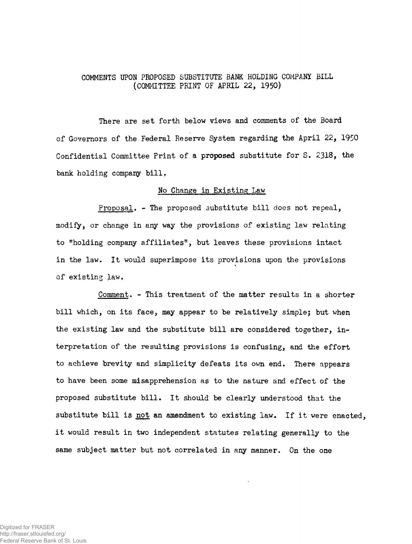# COMMENTS UPON PROPOSED SUBSTITUTE BANK HOLDING COMPANY BILL (COMMITTEE PRINT OF APRIL 22, 1950)

There are set forth below views and comments of the Board of Governors of the Federal Reserve System regarding the April 22, 1950 Confidential Committee Print of a proposed substitute for S. 2318, the bank holding company bill,

### No Change in Existing Law

Proposal, - The proposed substitute bill does not repeal, modify, or change in any way the provisions of existing law relating to "holding company affiliates", but leaves these provisions intact in the law. It would superimpose its provisions upon the provisions of existing law,

Comment. - This treatment of the matter results in a shorter bill which, on its face, may appear to be relatively simple; but when the existing law and the substitute bill are considered together, interpretation of the resulting provisions is confusing, and the effort to achieve brevity and simplicity defeats its own end. There appears to have been some misapprehension as to the nature and effect of the proposed substitute bill. It should be clearly understood that the substitute bill is not an amendment to existing law. If it were enacted, it would result in two independent statutes relating generally to the same subject matter but not correlated in any manner. On the one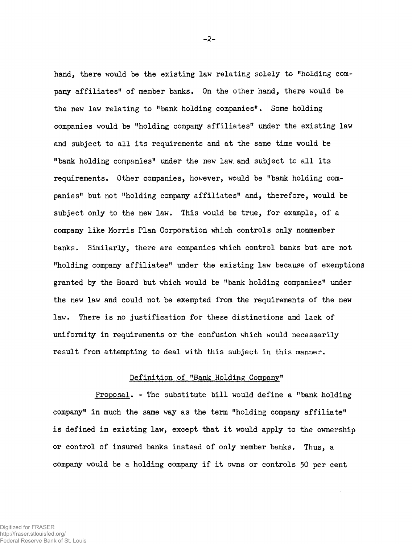hand, there would be the existing law relating solely to "holding company affiliates" of member banks. On the other hand, there would be the new law relating to "bank holding companies". Some holding companies would be "holding company affiliates" under the existing law and subject to all its requirements and at the same time would be "bank holding companies" under the new law. and subject to all its requirements. Other companies, however, would be "bank holding companies" but not "holding company affiliates" and, therefore, would be subject only to the new law. This would be true, for example, of a company like Morris Plan Corporation which controls only nonmember banks. Similarly, there are companies which control banks but are not "holding company affiliates" under the existing law because of exemptions granted by the Board but which would be "bank holding companies" under the new law and could not be exempted from the requirements of the new law. There is no justification for these distinctions and lack of uniformity in requirements or the confusion which would necessarily result from attempting to deal with this subject in this manner.

# Definition of "Bank Holding Company"

Proposal. - The substitute bill would define a "bank holding company" in much the same way as the term "holding company affiliate" is defined in existing law, except that it would apply to the ownership or control of insured banks instead of only member banks. Thus, a company would be a holding company if it owns or controls 50 per cent

Digitized for FRASER http://fraser.stlouisfed.org/ Federal Reserve Bank of St. Louis -2-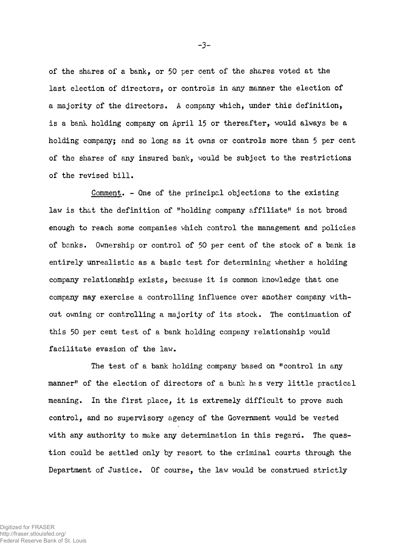of the shares of a bank, or 50 per cent of the shares voted at the last election of directors, or controls in any manner the election of a majority of the directors. A company which, under this definition, is a bank holding company on April 15 or thereafter, would always be a holding company; and so long as it owns or controls more than 5 per cent of the shares of any insured bank, would be subject to the restrictions of the revised bill.

Comment. - One of the principal objections to the existing law is that the definition of "holding company affiliate" is not broad enough to reach some companies which control the management and policies of banks. Ownership or control of 50 per cent of the stock of a bank is entirely unrealistic as a basic test for determining whether a holding company relationship exists, because it is common knowledge that one company may exercise a controlling influence over another company without owning or controlling a majority of its stock. The continuation of this 50 per cent test of a bank holding company relationship would facilitate evasion of the law.

The test of a bank holding company based on "control in any manner" of the election of directors of a bank has very little practical meaning. In the first place, it is extremely difficult to prove such control, and no supervisory agency of the Government would be vested with any authority to make any determination in this regard. The question could be settled only by resort to the criminal courts through the Department of Justice. Of course, the law would be construed strictly

**-3-**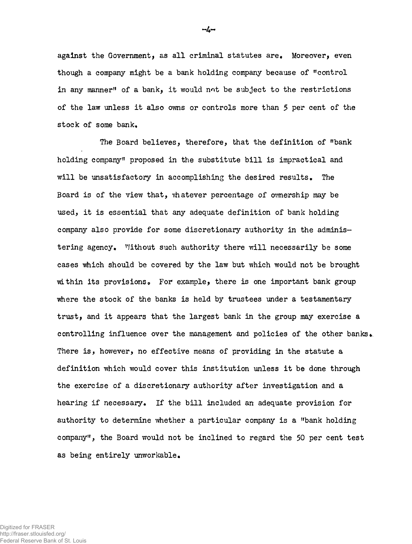against the Government, as all criminal statutes are. Moreover, even though a company might be a bank holding company because of "control in any manner" of a bank, it would not be subject to the restrictions of the law unless it also owns or controls more than 5 per cent of the stock of some bank.

The Board believes, therefore, that the definition of "bank holding company" proposed in the substitute bill is impractical and will be unsatisfactory in accomplishing the desired results. The Board is of the view that, whatever percentage of ownership may be used, it is essential that any adequate definition of bank holding company also provide for some discretionary axithority in the administering agency. Without such authority there will necessarily be some cases which should be covered by the law but which would not be brought within its provisions. For example, there is one important bank group where the stock of the banks is held by trustees under a testamentary trust, and it appears that the largest bank in the group may exercise a controlling influence over the management and policies of the other banks There is, however, no effective means of providing in the statute a definition which would cover this institution unless it be done through the exercise of a discretionary authority after investigation and a hearing if necessary. If the bill included an adequate provision for authority to determine whether a particular company is a "bank holding company", the Board would not be inclined to regard the 50 per cent test as being entirely unworkable.

 $-L-$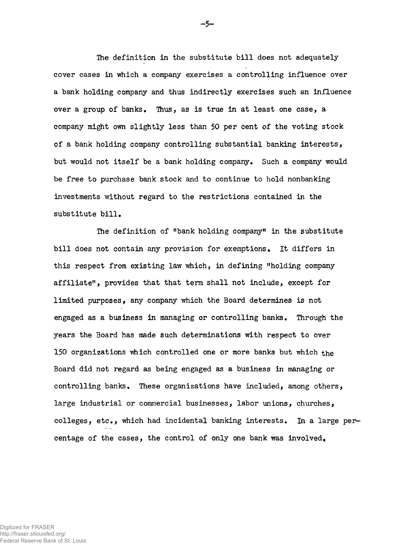The definition in the substitute bill does not adequately cover cases in which a company exercises a controlling influence over a bank holding company and thus indirectly exercises such an influence over a group of banks. Thus, as is true in at least one case, a company might own slightly less than 50 per cent of the voting stock of a bank holding company controlling substantial banking interests, but would not itself be a bank holding company. Such a company would be free to purchase bank stock and to continue to hold nonbanking investments without regard to the restrictions contained in the substitute bill.

The definition of "bank holding company" in the substitute bill does not contain any provision for exemptions. It differs in this respect from existing law which, in defining "holding company affiliate", provides that that term shall not include, except for limited purposes, any company which the Board determines is not engaged as a business in managing or controlling banks. Through the years the Board has made such determinations with respect to over 150 organizations which controlled one or more banks but which the Board did not regard as being engaged as a business in managing or controlling banks, These organizations have included, among others, large industrial or commercial businesses, labor unions, churches, colleges, etc., which had incidental banking interests. In a large percentage of the cases, the control of only one bank was involved^

 $-5-$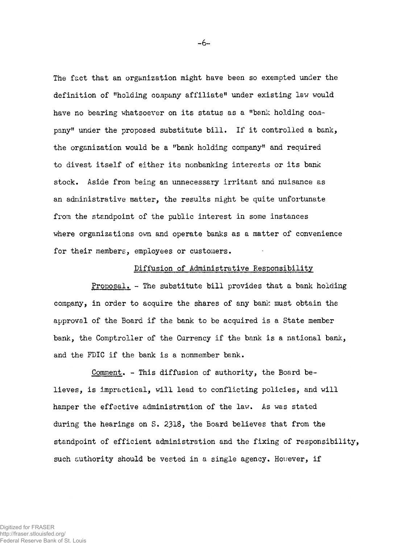The fact that an organization might have been so exempted under the definition of "holding company affiliate" under existing law would have no bearing whatsoever on its status as a "bank holding company" under the proposed substitute bill. If it controlled a bank, the organization would be a "bank holding company" and required to divest itself of either its nonbanking interests or its bank stock• Aside from being an unnecessary irritant and nuisance as an administrative matter, the results might be quite unfortunate from the standpoint of the public interest in some instances where organizations own and operate banks as a matter of convenience for their members, employees or customers.

## Diffusion of Administrative Responsibility

Proposal. - The substitute bill provides that a bank holding company, in order to acquire the shares of any bank must obtain the approval of the Board if the bank to be acquired is a State member bank, the Comptroller of the Currency if the bank is a national bank, and the FDIC if the bank is a nonmember bank.

Comment. - This diffusion of authority, the Board believes, is impractical, will lead to conflicting policies, and will hamper the effective administration of the law. As was stated during the hearings on S. 2318, the Board believes that from the standpoint of efficient administration and the fixing of responsibility, such authority should be vested in a single agency. However, if

-6-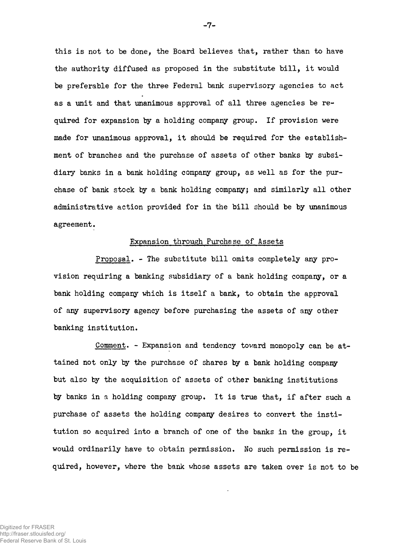this is not to be done, the Board believes that, rather than to have the authority diffused as proposed in the substitute bill, it would be preferable for the three Federal bank supervisory agencies to act as a unit and that unanimous approval of all three agencies be required for expansion ty a holding company group. If provision were made for unanimous approval, it should be required for the establishment of branches and the purchase of assets of other banks by subsidiary banks in a bank holding company group, as well as for the purchase of bank stock by a bank holding company; and similarly all other administrative action provided for in the bill should be by unanimous agreement.

#### Expansion through Purchase of Assets

Proposal. - The substitute bill omits completely any provision requiring a banking subsidiary of a bank holding company, or a bank holding company which is itself a bank, to obtain the approval of any supervisory agency before purchasing the assets of any other banking institution.

Comment. - Expansion and tendency toward monopoly can be attained not only by the purchase of shares by a bank holding company but also by the acquisition of assets of other banking institutions by banks in a holding company group. It is true that, if after such a purchase of assets the holding company desires to convert the institution so acquired into a branch of one of the banks in the group, it would ordinarily have to obtain permission. No such permission is required, however, where the bank whose assets are taken over is not to be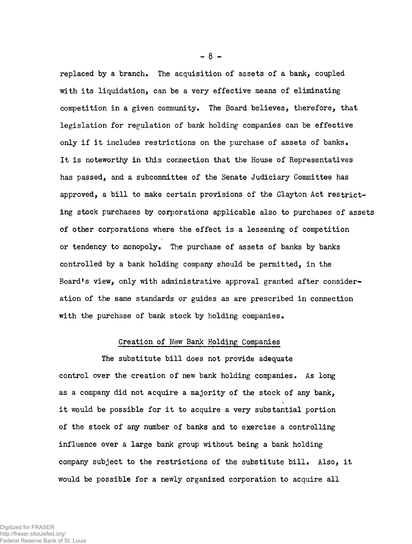replaced by a branch. The acquisition of assets of a bank, coupled with its liquidation, can be a very effective means of eliminating competition in a given community. The Board believes, therefore, that legislation for regulation of bank holding companies can be effective only if it includes restrictions on the purchase of assets of banks. It is noteworthy in this connection that the House of Representatives has passed, and a subcommittee of the Senate Judiciary Committee has approved, a bill to make certain provisions of the Clayton Act restricting stock purchases by corporations applicable also to purchases of assets of other corporations where the effect is a lessening of competition or tendency to monopoly. The purchase of assets of banks by banks controlled by a bank holding company should be permitted, in the Board's view, only with administrative approval granted after consideration of the same standards or guides as are prescribed in connection with the purchase of bank stock by holding companies.

## Creation of New Bank Holding Companies

The substitute bill does not provide adequate control over the creation of new bank holding companies. As long as a company did not acquire a majority of the stock of any bank, it would be possible for it to acquire a very substantial portion of the stock of any number of banks and to exercise a controlling influence over a large bank group without being a bank holding company subject to the restrictions of the substitute bill. Also, it would be possible for a newly organized corporation to acquire all

**- 8 -**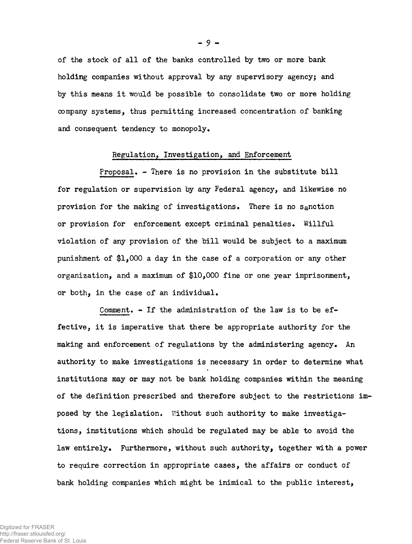of the stock of all of the banks controlled by two or more bank holding companies without approval by any supervisory agency; and by this means it would be possible to consolidate two or more holding company systems, thus permitting increased concentration of banking and consequent tendency to monopoly.

#### Regulation, Investigation, and Enforcement

Proposal. - There is no provision in the substitute bill for regulation or supervision by any Federal agency, and likewise no provision for the making of investigations. There is no Sanction or provision for enforcement except criminal penalties. Willful violation of any provision of the bill would be subject to a maximum punishment of \$1,000 a day in the case of a corporation or any other organization, and a maximum of \$10,000 fine or one year imprisonment, or both, in the case of an individual.

Comment. - If the administration of the law is to be effective, it is imperative that there be appropriate authority for the making and enforcement of regulations by the administering agency. An authority to make investigations is necessary in order to determine what institutions may or may not be bank holding companies within the meaning of the definition prescribed and therefore subject to the restrictions imposed by the legislation. Without such authority to make investigations, institutions which should be regulated may be able to avoid the law entirely. Furthermore, without such authority, together with a power to require correction in appropriate cases, the affairs or conduct of bank holding companies which might be inimical to the public interest,

**- 9 -**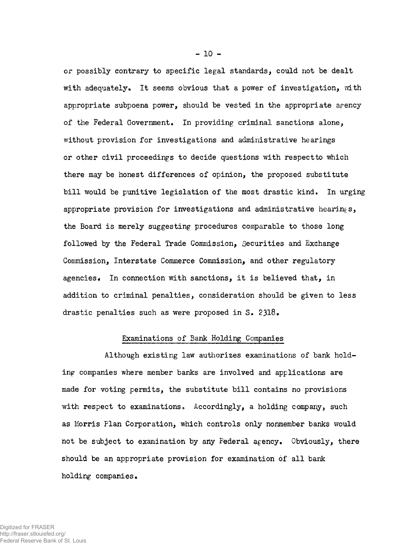or possibly contrary to specific legal standards, could not be dealt with adequately. It seems obvious that a power of investigation, with appropriate subpoena power, should be vested in the appropriate apency of the Federal Government. In providing criminal sanctions alone, without provision for investigations and administrative hearings or other civil proceedings to decide questions with respectto which there may be honest differences of opinion, the proposed substitute bill would be punitive legislation of the most drastic kind. In urging appropriate provision for investigations and administrative hearings, the Board is merely suggesting procedures comparable to those long followed by the Federal Trade Commission, Securities and Exchange Commission, Interstate Commerce Commission, and other regulatory agencies. In connection with sanctions, it is believed that, in addition to criminal penalties, consideration should be given to less drastic penalties such as were proposed in S, 2318.

## Examinations of Bank Holding Companies

Although existing law authorizes examinations of bank holding companies where member banks are involved and applications are made for voting permits, the substitute bill contains no provisions with respect to examinations. Accordingly, a holding company, such as Morris Plan Corporation, which controls only nonmember banks would not be subject to examination by any Federal agency. Obviously, there should be an appropriate provision for examination of all bank holding companies.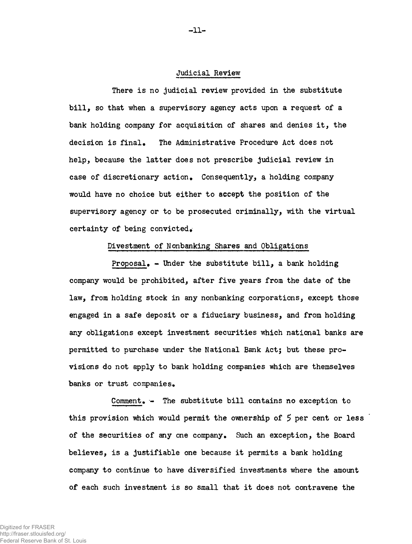#### Judicial Review

There is no judicial review provided in the substitute bill, so that when a supervisory agency acts upon a request of a bank holding company for acquisition of shares and denies it, the decision is final. The Administrative Procedure Act does not help, because the latter does not prescribe judicial review in case of discretionary action. Consequently, a holding company would have no choice but either to accept the position of the supervisory agency or to be prosecuted criminally, with the virtual certainty of being convicted.

Divestment of Nonbanking Shares and Obligations

 $Proposal_{\bullet}$  - Under the substitute bill, a bank holding company would be prohibited, after five years from the date of the law, from holding stock in any nonbanking corporations, except those engaged in a safe deposit or a fiduciary business, and from holding any obligations except investment securities which national banks are permitted to purchase under the National Bank Act; but these provisions do not apply to bank holding companies which are themselves banks or trust companies.

Comment.  $-$  The substitute bill contains no exception to this provision which would permit the ownership of  $5$  per cent or less of the securities of any one company. Such an exception, the Board believes, is a justifiable one because it permits a bank holding company to continue to have diversified investments where the amount of each such investment is so small that it does not contravene the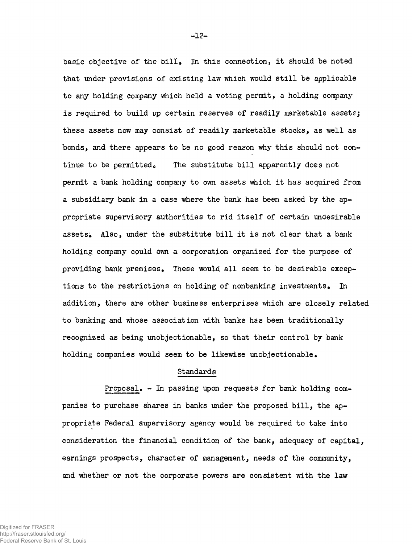basic objective of the bill. In this connection, it should be noted that under provisions of existing law which would still be applicable to any holding company which held a voting permit, a holding company is required to build up certain reserves of readily marketable assets; these assets now may consist of readily marketable stocks, as well as bonds, and there appears to be no good reason why this should not continue to be permitted. The substitute bill apparently does not permit a bank holding company to own assets which it has acquired from a subsidiary bank in a case where the bank has been asked by the appropriate supervisory authorities to rid itself of certain undesirable assets; Also, under the substitute bill it is not clear that a bank holding company could own a corporation organized for the purpose of providing bank premises. These would all seem to be desirable exceptions to the restrictions on holding of nonbanking investments. In addition, there are other business enterprises which are closely related to banking and whose association with banks has been traditionally recognized as being unobjectionable, so that their control by bank holding companies would seem to be likewise unobjectionable.

#### Standards

Proposal.  $-$  In passing upon requests for bank holding companies to purchase shares in banks under the proposed bill, the appropriate Federal supervisory agency would be required to take into consideration the financial condition of the bank, adequacy of capital, earnings prospects, character of management, needs of the community, and whether or not the corporate powers are consistent with the law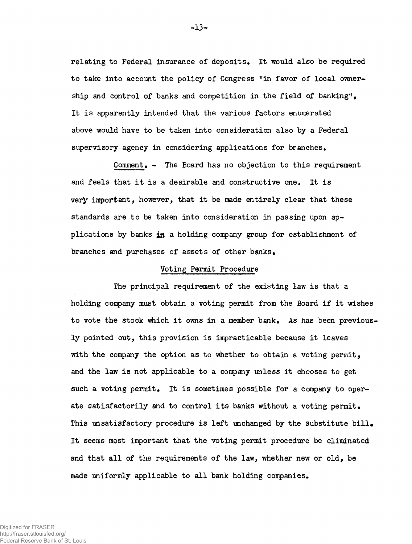relating to Federal insurance of deposits. It would also be required to take into account the policy of Congress "in favor of local ownership and control of banks and competition in the field of banking". It is apparently intended that the various factors enumerated above would have to be taken into consideration also by a Federal supervisory agency in considering applications for branches.

Comment.  $-$  The Board has no objection to this requirement and feels that it is a desirable and constructive one. It is very important, however, that it be made entirely clear that these standards are to be taken into consideration in passing upon applications by banks in a holding company group for establishment of branches and purchases of assets of other banks.

#### Voting Permit Procedure

The principal requirement of the existing law is that a holding company must obtain a voting permit from the Board if it wishes to vote the stock which it owns in a member bank. As has been previously pointed out, this provision is impracticable because it leaves with the company the option as to whether to obtain a voting permit, and the law is not applicable to a company unless it chooses to get such a voting permit. It is sometimes possible for a company to operate satisfactorily and to control its banks without a voting permit. This unsatisfactory procedure is left unchanged by the substitute bill. It seems most important that the voting permit procedure be eliminated and that all of the requirements of the law, whether new or old, be made uniformly applicable to all bank holding companies.